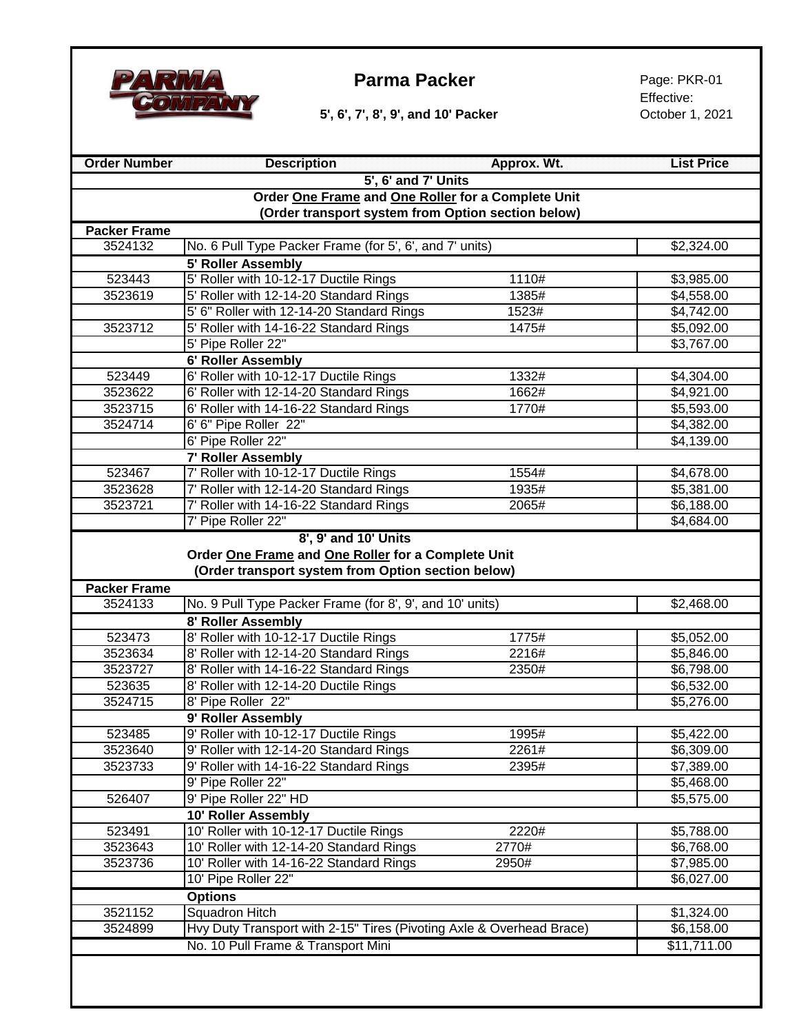

**5', 6', 7', 8', 9', and 10' Packer Collaborate Britain Corporation Corporation Corporation Corporation Corporation Corporation Corporation Corporation Corporation Corporation Corporation Corporation Corporation Corporat** 

Effective:

| <b>Order Number</b>                                | <b>Description</b>                                                   | Approx. Wt. | <b>List Price</b>      |
|----------------------------------------------------|----------------------------------------------------------------------|-------------|------------------------|
|                                                    | 5', 6' and 7' Units                                                  |             |                        |
| Order One Frame and One Roller for a Complete Unit |                                                                      |             |                        |
|                                                    | (Order transport system from Option section below)                   |             |                        |
| <b>Packer Frame</b>                                |                                                                      |             |                        |
| 3524132                                            | No. 6 Pull Type Packer Frame (for 5', 6', and 7' units)              |             | \$2,324.00             |
|                                                    | 5' Roller Assembly                                                   |             |                        |
| 523443                                             | 5' Roller with 10-12-17 Ductile Rings                                | 1110#       | \$3,985.00             |
| 3523619                                            | 5' Roller with 12-14-20 Standard Rings                               | 1385#       | \$4,558.00             |
|                                                    | 5' 6" Roller with 12-14-20 Standard Rings                            | 1523#       | \$4,742.00             |
| 3523712                                            | 5' Roller with 14-16-22 Standard Rings                               | 1475#       | \$5,092.00             |
|                                                    | 5' Pipe Roller 22"                                                   |             | \$3,767.00             |
|                                                    | 6' Roller Assembly                                                   |             |                        |
| 523449                                             | 6' Roller with 10-12-17 Ductile Rings                                | 1332#       | \$4,304.00             |
| 3523622                                            | 6' Roller with 12-14-20 Standard Rings                               | 1662#       | \$4,921.00             |
| 3523715                                            | 6' Roller with 14-16-22 Standard Rings                               | 1770#       | \$5,593.00             |
| 3524714                                            | 6' 6" Pipe Roller 22"                                                |             | \$4,382.00             |
|                                                    | 6' Pipe Roller 22"                                                   |             | \$4,139.00             |
|                                                    | <b>7' Roller Assembly</b>                                            |             |                        |
| 523467                                             | 7' Roller with 10-12-17 Ductile Rings                                | 1554#       | \$4,678.00             |
| 3523628                                            | 7' Roller with 12-14-20 Standard Rings                               | 1935#       | \$5,381.00             |
| 3523721                                            | 7' Roller with 14-16-22 Standard Rings                               | 2065#       | \$6,188.00             |
|                                                    | 7' Pipe Roller 22"                                                   |             | \$4,684.00             |
|                                                    | 8', 9' and 10' Units                                                 |             |                        |
|                                                    | Order One Frame and One Roller for a Complete Unit                   |             |                        |
|                                                    | (Order transport system from Option section below)                   |             |                        |
| <b>Packer Frame</b>                                |                                                                      |             |                        |
| 3524133                                            | No. 9 Pull Type Packer Frame (for 8', 9', and 10' units)             |             | \$2,468.00             |
|                                                    | 8' Roller Assembly                                                   |             |                        |
| 523473                                             | 8' Roller with 10-12-17 Ductile Rings                                | 1775#       | \$5,052.00             |
| 3523634                                            | 8' Roller with 12-14-20 Standard Rings                               | 2216#       | \$5,846.00             |
| 3523727                                            | 8' Roller with 14-16-22 Standard Rings                               | 2350#       | \$6,798.00             |
| 523635                                             | 8' Roller with 12-14-20 Ductile Rings                                |             | \$6,532.00             |
| 3524715                                            | 8' Pipe Roller 22"                                                   |             | \$5,276.00             |
|                                                    | 9' Roller Assembly                                                   |             |                        |
| 523485                                             | 9' Roller with 10-12-17 Ductile Rings                                | 1995#       | \$5,422.00             |
| 3523640                                            | 9' Roller with 12-14-20 Standard Rings                               | 2261#       | \$6,309.00             |
| 3523733                                            | 9' Roller with 14-16-22 Standard Rings                               | 2395#       | \$7,389.00             |
|                                                    | 9' Pipe Roller 22"                                                   |             | $\overline{$}5,468.00$ |
| 526407                                             | 9' Pipe Roller 22" HD                                                |             | \$5,575.00             |
|                                                    | 10' Roller Assembly                                                  |             |                        |
| 523491                                             | 10' Roller with 10-12-17 Ductile Rings                               | 2220#       | \$5,788.00             |
| 3523643                                            | 10' Roller with 12-14-20 Standard Rings                              | 2770#       | \$6,768.00             |
| 3523736                                            | 10' Roller with 14-16-22 Standard Rings                              | 2950#       | \$7,985.00             |
|                                                    | 10' Pipe Roller 22"                                                  |             | \$6,027.00             |
|                                                    | <b>Options</b>                                                       |             |                        |
| 3521152                                            | <b>Squadron Hitch</b>                                                |             | \$1,324.00             |
| 3524899                                            | Hvy Duty Transport with 2-15" Tires (Pivoting Axle & Overhead Brace) |             | \$6,158.00             |
|                                                    | No. 10 Pull Frame & Transport Mini                                   |             | \$11,711.00            |
|                                                    |                                                                      |             |                        |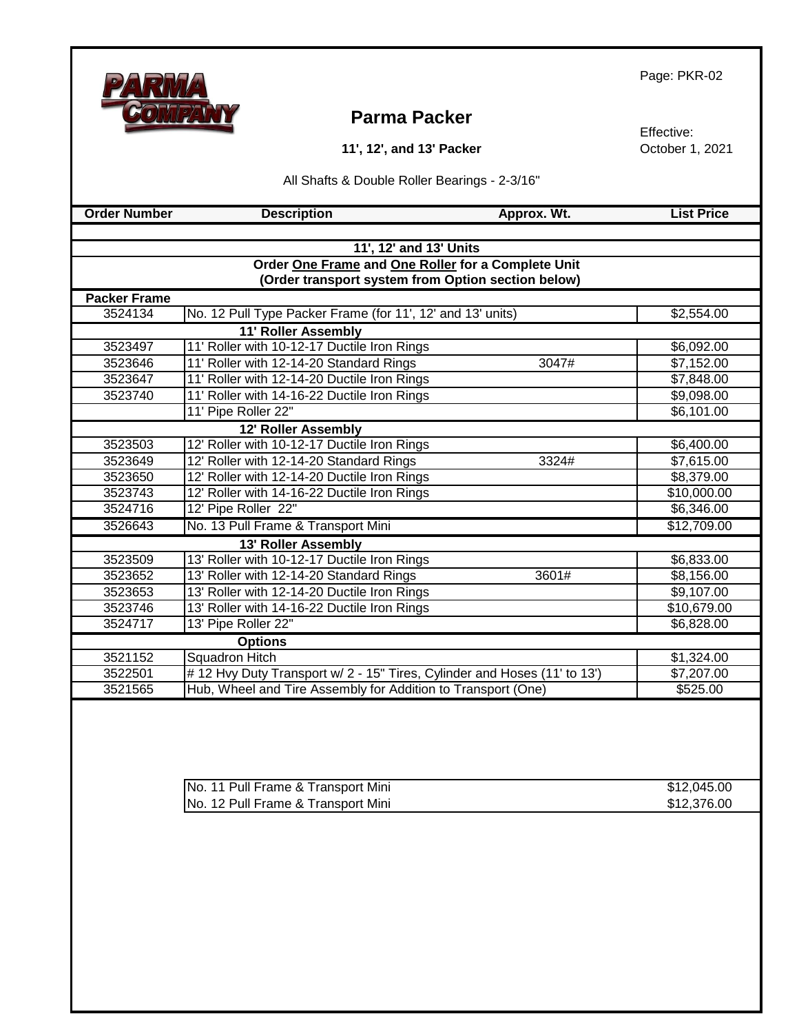# **Parma Packer**

**11', 12', and 13' Packer**

Effective: October 1, 2021

All Shafts & Double Roller Bearings - 2-3/16"

 **Calculate Contract Contract Contract Contract Contract Contract Contract Contract Contract Contract Contract Contract Contract Contract Contract Contract Contract Contract Contract Contract Contract Contract Contract Con** 

| 11', 12' and 13' Units                             |                                                                          |                     |
|----------------------------------------------------|--------------------------------------------------------------------------|---------------------|
| Order One Frame and One Roller for a Complete Unit |                                                                          |                     |
| (Order transport system from Option section below) |                                                                          |                     |
| <b>Packer Frame</b>                                |                                                                          |                     |
| 3524134                                            | No. 12 Pull Type Packer Frame (for 11', 12' and 13' units)               | \$2,554.00          |
|                                                    | <b>11' Roller Assembly</b>                                               |                     |
| 3523497                                            | 11' Roller with 10-12-17 Ductile Iron Rings                              | \$6,092.00          |
| 3523646                                            | 11' Roller with 12-14-20 Standard Rings                                  | 3047#<br>\$7,152.00 |
| 3523647                                            | 11' Roller with 12-14-20 Ductile Iron Rings                              | \$7,848.00          |
| 3523740                                            | 11' Roller with 14-16-22 Ductile Iron Rings                              | \$9,098.00          |
|                                                    | 11' Pipe Roller 22"                                                      | \$6,101.00          |
|                                                    | 12' Roller Assembly                                                      |                     |
| 3523503                                            | 12' Roller with 10-12-17 Ductile Iron Rings                              | \$6,400.00          |
| 3523649                                            | 12' Roller with 12-14-20 Standard Rings                                  | 3324#<br>\$7,615.00 |
| 3523650                                            | 12' Roller with 12-14-20 Ductile Iron Rings                              | \$8,379.00          |
| 3523743                                            | 12' Roller with 14-16-22 Ductile Iron Rings                              | \$10,000.00         |
| 3524716                                            | 12' Pipe Roller 22"                                                      | \$6,346.00          |
| 3526643                                            | No. 13 Pull Frame & Transport Mini                                       | \$12,709.00         |
|                                                    | 13' Roller Assembly                                                      |                     |
| 3523509                                            | 13' Roller with 10-12-17 Ductile Iron Rings                              | \$6,833.00          |
| 3523652                                            | 13' Roller with 12-14-20 Standard Rings<br>3601#                         | \$8,156.00          |
| 3523653                                            | 13' Roller with 12-14-20 Ductile Iron Rings                              | \$9,107.00          |
| 3523746                                            | 13' Roller with 14-16-22 Ductile Iron Rings                              | \$10,679.00         |
| 3524717                                            | 13' Pipe Roller 22"                                                      | \$6,828.00          |
| <b>Options</b>                                     |                                                                          |                     |
| 3521152                                            | <b>Squadron Hitch</b>                                                    | \$1,324.00          |
| 3522501                                            | #12 Hvy Duty Transport w/ 2 - 15" Tires, Cylinder and Hoses (11' to 13') | \$7,207.00          |
| 3521565                                            | Hub, Wheel and Tire Assembly for Addition to Transport (One)             | \$525.00            |

| No. 11 Pull Frame & Transport Mini | \$12,045.00 |
|------------------------------------|-------------|
| No. 12 Pull Frame & Transport Mini | \$12,376.00 |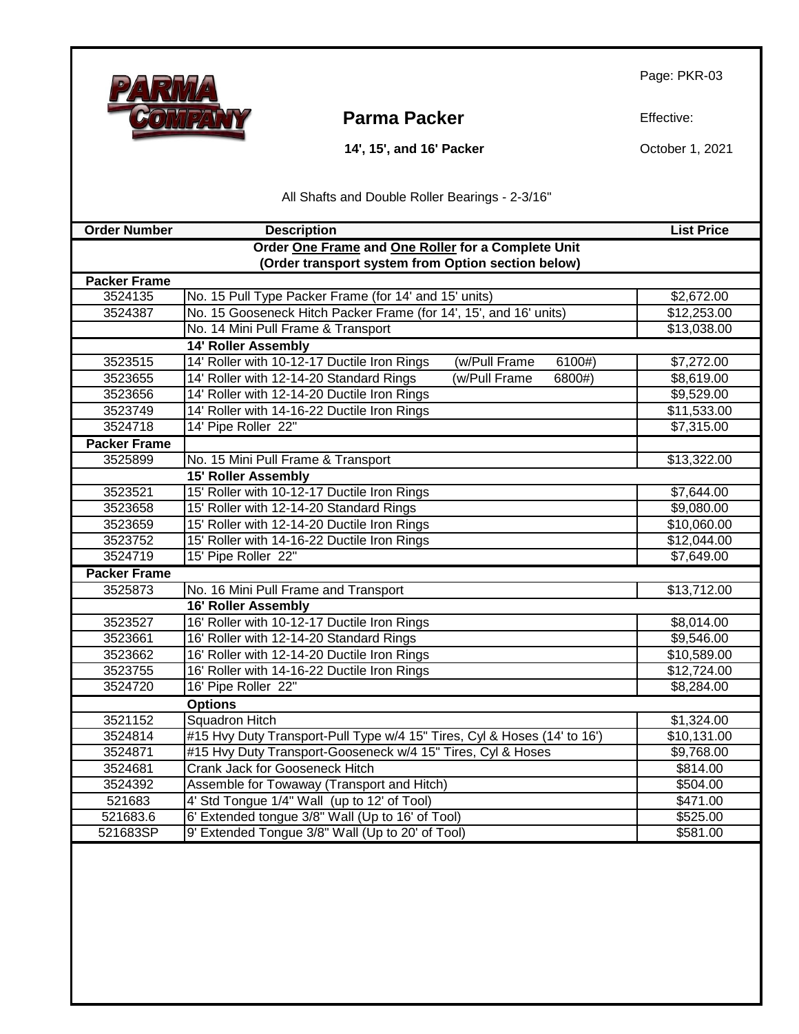

**Parma Packer** Effective:

 **14', 15', and 16' Packer**

October 1, 2021

All Shafts and Double Roller Bearings - 2-3/16"

| <b>Order Number</b> | <b>Description</b>                                                       | <b>List Price</b> |
|---------------------|--------------------------------------------------------------------------|-------------------|
|                     | Order One Frame and One Roller for a Complete Unit                       |                   |
|                     | (Order transport system from Option section below)                       |                   |
| <b>Packer Frame</b> |                                                                          |                   |
| 3524135             | No. 15 Pull Type Packer Frame (for 14' and 15' units)                    | \$2,672.00        |
| 3524387             | No. 15 Gooseneck Hitch Packer Frame (for 14', 15', and 16' units)        | \$12,253.00       |
|                     | No. 14 Mini Pull Frame & Transport                                       | \$13,038.00       |
|                     | <b>14' Roller Assembly</b>                                               |                   |
| 3523515             | 14' Roller with 10-12-17 Ductile Iron Rings<br>(w/Pull Frame<br>6100#)   | \$7,272.00        |
| 3523655             | 14' Roller with 12-14-20 Standard Rings<br>(w/Pull Frame<br>6800#)       | \$8,619.00        |
| 3523656             | 14' Roller with 12-14-20 Ductile Iron Rings                              | \$9,529.00        |
| 3523749             | 14' Roller with 14-16-22 Ductile Iron Rings                              | \$11,533.00       |
| 3524718             | 14' Pipe Roller 22"                                                      | \$7,315.00        |
| <b>Packer Frame</b> |                                                                          |                   |
| 3525899             | No. 15 Mini Pull Frame & Transport                                       | \$13,322.00       |
|                     | <b>15' Roller Assembly</b>                                               |                   |
| 3523521             | 15' Roller with 10-12-17 Ductile Iron Rings                              | \$7,644.00        |
| 3523658             | 15' Roller with 12-14-20 Standard Rings                                  | \$9,080.00        |
| 3523659             | 15' Roller with 12-14-20 Ductile Iron Rings                              | \$10,060.00       |
| 3523752             | 15' Roller with 14-16-22 Ductile Iron Rings                              | \$12,044.00       |
| 3524719             | 15' Pipe Roller 22"                                                      | \$7,649.00        |
| <b>Packer Frame</b> |                                                                          |                   |
| 3525873             | No. 16 Mini Pull Frame and Transport                                     | \$13,712.00       |
|                     | <b>16' Roller Assembly</b>                                               |                   |
| 3523527             | 16' Roller with 10-12-17 Ductile Iron Rings                              | \$8,014.00        |
| 3523661             | 16' Roller with 12-14-20 Standard Rings                                  | \$9,546.00        |
| 3523662             | 16' Roller with 12-14-20 Ductile Iron Rings                              | \$10,589.00       |
| 3523755             | 16' Roller with 14-16-22 Ductile Iron Rings                              | \$12,724.00       |
| 3524720             | 16' Pipe Roller 22"                                                      | \$8,284.00        |
|                     | <b>Options</b>                                                           |                   |
| 3521152             | <b>Squadron Hitch</b>                                                    | \$1,324.00        |
| 3524814             | #15 Hvy Duty Transport-Pull Type w/4 15" Tires, Cyl & Hoses (14' to 16') | \$10,131.00       |
| 3524871             | #15 Hvy Duty Transport-Gooseneck w/4 15" Tires, Cyl & Hoses              | \$9,768.00        |
| 3524681             | Crank Jack for Gooseneck Hitch                                           | \$814.00          |
| 3524392             | Assemble for Towaway (Transport and Hitch)                               | \$504.00          |
| 521683              | 4' Std Tongue 1/4" Wall (up to 12' of Tool)                              | \$471.00          |
| 521683.6            | 6' Extended tongue 3/8" Wall (Up to 16' of Tool)                         | \$525.00          |
| 521683SP            | 9' Extended Tongue 3/8" Wall (Up to 20' of Tool)                         | \$581.00          |
|                     |                                                                          |                   |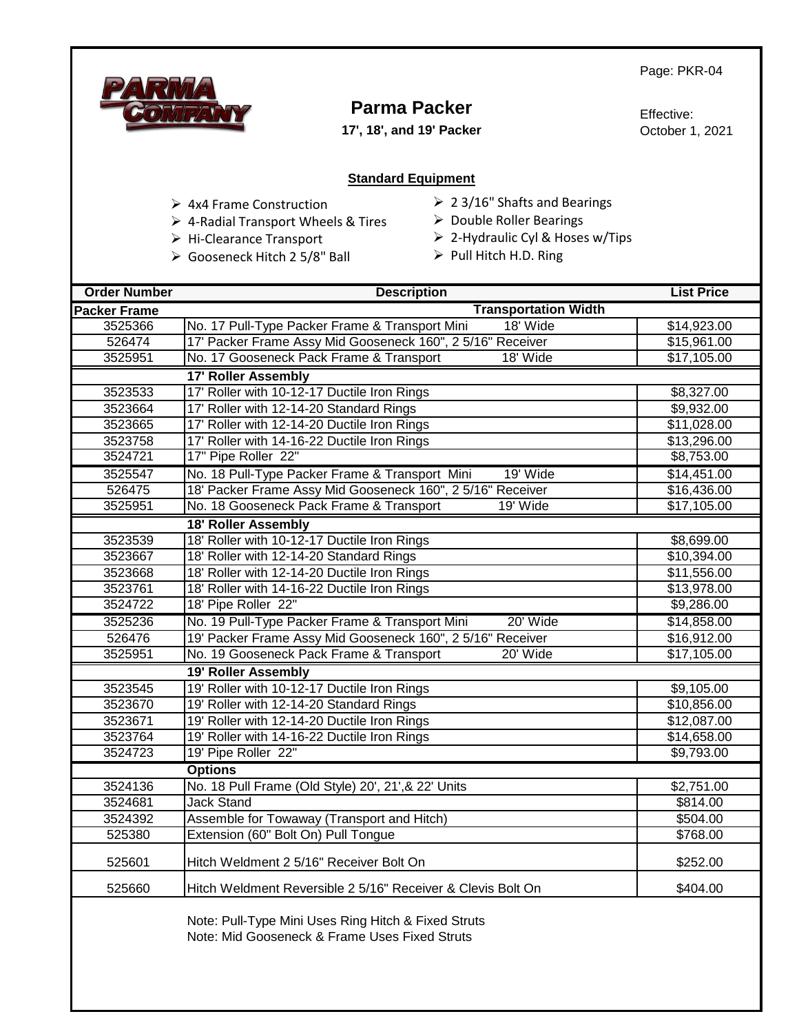

# **Parma Packer**

**17', 18', and 19' Packer**

Effective: October 1, 2021

#### **Standard Equipment**

- ➢ 4x4 Frame Construction
- ➢ 4-Radial Transport Wheels & Tires
- ➢ Hi-Clearance Transport
- ➢ Gooseneck Hitch 2 5/8" Ball
- ➢ 2 3/16" Shafts and Bearings
- ➢ Double Roller Bearings
- ➢ 2-Hydraulic Cyl & Hoses w/Tips
- ➢ Pull Hitch H.D. Ring

| <b>Order Number</b> | <b>Description</b>                                                                                   | <b>List Price</b> |
|---------------------|------------------------------------------------------------------------------------------------------|-------------------|
| <b>Packer Frame</b> | <b>Transportation Width</b>                                                                          |                   |
| 3525366             | No. 17 Pull-Type Packer Frame & Transport Mini<br>18' Wide                                           | \$14,923.00       |
| 526474              | 17' Packer Frame Assy Mid Gooseneck 160", 2 5/16" Receiver                                           | \$15,961.00       |
| 3525951             | No. 17 Gooseneck Pack Frame & Transport<br>18' Wide                                                  | \$17,105.00       |
|                     | <b>17' Roller Assembly</b>                                                                           |                   |
| 3523533             | 17' Roller with 10-12-17 Ductile Iron Rings                                                          | \$8,327.00        |
| 3523664             | 17' Roller with 12-14-20 Standard Rings                                                              | \$9,932.00        |
| 3523665             | 17' Roller with 12-14-20 Ductile Iron Rings                                                          | \$11,028.00       |
| 3523758             | 17' Roller with 14-16-22 Ductile Iron Rings                                                          | \$13,296.00       |
| 3524721             | 17" Pipe Roller 22"                                                                                  | \$8,753.00        |
| 3525547             | No. 18 Pull-Type Packer Frame & Transport Mini<br>19' Wide                                           | \$14,451.00       |
| 526475              | 18' Packer Frame Assy Mid Gooseneck 160", 2 5/16" Receiver                                           | \$16,436.00       |
| 3525951             | No. 18 Gooseneck Pack Frame & Transport<br>19' Wide                                                  | \$17,105.00       |
|                     | <b>18' Roller Assembly</b>                                                                           |                   |
| 3523539             | 18' Roller with 10-12-17 Ductile Iron Rings                                                          | \$8,699.00        |
| 3523667             | 18' Roller with 12-14-20 Standard Rings                                                              | \$10,394.00       |
| 3523668             | 18' Roller with 12-14-20 Ductile Iron Rings                                                          | \$11,556.00       |
| 3523761             | 18' Roller with 14-16-22 Ductile Iron Rings                                                          | \$13,978.00       |
| 3524722             | 18' Pipe Roller 22"                                                                                  | \$9,286.00        |
| 3525236             | No. 19 Pull-Type Packer Frame & Transport Mini<br>20' Wide                                           | \$14,858.00       |
| 526476              | 19' Packer Frame Assy Mid Gooseneck 160", 2 5/16" Receiver                                           | \$16,912.00       |
| 3525951             | No. 19 Gooseneck Pack Frame & Transport<br>20' Wide                                                  | \$17,105.00       |
|                     | <b>19' Roller Assembly</b>                                                                           |                   |
| 3523545             | 19' Roller with 10-12-17 Ductile Iron Rings                                                          | \$9,105.00        |
| 3523670             | 19' Roller with 12-14-20 Standard Rings                                                              | \$10,856.00       |
| 3523671             | 19' Roller with 12-14-20 Ductile Iron Rings                                                          | \$12,087.00       |
| 3523764             | 19' Roller with 14-16-22 Ductile Iron Rings                                                          | \$14,658.00       |
| 3524723             | 19' Pipe Roller 22"                                                                                  | \$9,793.00        |
|                     | <b>Options</b>                                                                                       |                   |
| 3524136             | No. 18 Pull Frame (Old Style) 20', 21', & 22' Units                                                  | \$2,751.00        |
| 3524681             | <b>Jack Stand</b>                                                                                    | \$814.00          |
| 3524392             | Assemble for Towaway (Transport and Hitch)                                                           | \$504.00          |
| 525380              | Extension (60" Bolt On) Pull Tongue                                                                  | \$768.00          |
| 525601              | Hitch Weldment 2 5/16" Receiver Bolt On                                                              | \$252.00          |
| 525660              | Hitch Weldment Reversible 2 5/16" Receiver & Clevis Bolt On                                          | \$404.00          |
|                     | Note: Pull-Type Mini Uses Ring Hitch & Fixed Struts<br>Note: Mid Gooseneck & Frame Uses Fixed Struts |                   |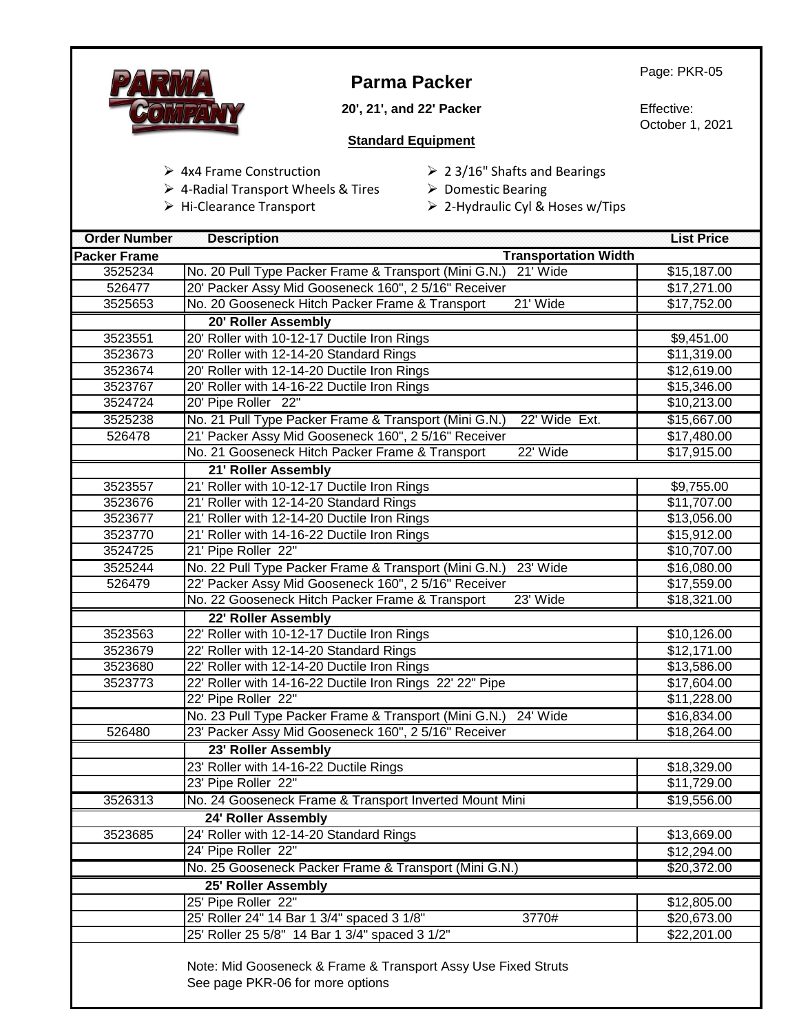

# **Parma Packer**

**20', 21', and 22' Packer**

Page: PKR-05

Effective: October 1, 2021

#### **Standard Equipment**

- ➢ 4x4 Frame Construction
- ➢ 2 3/16" Shafts and Bearings
- ➢ Domestic Bearing ➢ 4-Radial Transport Wheels & Tires
- ➢ Hi-Clearance Transport
- ➢ 2-Hydraulic Cyl & Hoses w/Tips

| <b>Order Number</b> | <b>Description</b>                                                     | <b>List Price</b> |
|---------------------|------------------------------------------------------------------------|-------------------|
| <b>Packer Frame</b> | <b>Transportation Width</b>                                            |                   |
| 3525234             | 21' Wide<br>No. 20 Pull Type Packer Frame & Transport (Mini G.N.)      | \$15,187.00       |
| 526477              | 20' Packer Assy Mid Gooseneck 160", 2 5/16" Receiver                   | \$17,271.00       |
| 3525653             | No. 20 Gooseneck Hitch Packer Frame & Transport<br>21' Wide            | \$17,752.00       |
|                     | 20' Roller Assembly                                                    |                   |
| 3523551             | 20' Roller with 10-12-17 Ductile Iron Rings                            | \$9,451.00        |
| 3523673             | 20' Roller with 12-14-20 Standard Rings                                | \$11,319.00       |
| 3523674             | 20' Roller with 12-14-20 Ductile Iron Rings                            | \$12,619.00       |
| 3523767             | 20' Roller with 14-16-22 Ductile Iron Rings                            | \$15,346.00       |
| 3524724             | 20' Pipe Roller 22"                                                    | \$10,213.00       |
| 3525238             | No. 21 Pull Type Packer Frame & Transport (Mini G.N.)<br>22' Wide Ext. | \$15,667.00       |
| 526478              | 21' Packer Assy Mid Gooseneck 160", 2 5/16" Receiver                   | \$17,480.00       |
|                     | 22' Wide<br>No. 21 Gooseneck Hitch Packer Frame & Transport            | \$17,915.00       |
|                     | 21' Roller Assembly                                                    |                   |
| 3523557             | 21' Roller with 10-12-17 Ductile Iron Rings                            | \$9,755.00        |
| 3523676             | 21' Roller with 12-14-20 Standard Rings                                | \$11,707.00       |
| 3523677             | 21' Roller with 12-14-20 Ductile Iron Rings                            | \$13,056.00       |
| 3523770             | 21' Roller with 14-16-22 Ductile Iron Rings                            | \$15,912.00       |
| 3524725             | 21' Pipe Roller 22"                                                    | \$10,707.00       |
| 3525244             | No. 22 Pull Type Packer Frame & Transport (Mini G.N.)<br>23' Wide      | \$16,080.00       |
| 526479              | 22' Packer Assy Mid Gooseneck 160", 2 5/16" Receiver                   | \$17,559.00       |
|                     | 23' Wide<br>No. 22 Gooseneck Hitch Packer Frame & Transport            | \$18,321.00       |
|                     | 22' Roller Assembly                                                    |                   |
| 3523563             | 22' Roller with 10-12-17 Ductile Iron Rings                            | \$10,126.00       |
| 3523679             | 22' Roller with 12-14-20 Standard Rings                                | \$12,171.00       |
| 3523680             | 22' Roller with 12-14-20 Ductile Iron Rings                            | \$13,586.00       |
| 3523773             | 22' Roller with 14-16-22 Ductile Iron Rings 22' 22" Pipe               | \$17,604.00       |
|                     | 22' Pipe Roller 22"                                                    | \$11,228.00       |
|                     | No. 23 Pull Type Packer Frame & Transport (Mini G.N.) 24' Wide         | \$16,834.00       |
| 526480              | 23' Packer Assy Mid Gooseneck 160", 25/16" Receiver                    | \$18,264.00       |
|                     | 23' Roller Assembly                                                    |                   |
|                     | 23' Roller with 14-16-22 Ductile Rings                                 | \$18,329.00       |
|                     | 23' Pipe Roller 22"                                                    | \$11,729.00       |
| 3526313             | No. 24 Gooseneck Frame & Transport Inverted Mount Mini                 | \$19,556.00       |
|                     | 24' Roller Assembly                                                    |                   |
| 3523685             | 24' Roller with 12-14-20 Standard Rings                                | \$13,669.00       |
|                     | 24' Pipe Roller 22"                                                    | \$12,294.00       |
|                     | No. 25 Gooseneck Packer Frame & Transport (Mini G.N.)                  | \$20,372.00       |
|                     | 25' Roller Assembly                                                    |                   |
|                     | 25' Pipe Roller 22"                                                    | \$12,805.00       |
|                     | 25' Roller 24" 14 Bar 1 3/4" spaced 3 1/8"<br>3770#                    | \$20,673.00       |
|                     | 25' Roller 25 5/8" 14 Bar 1 3/4" spaced 3 1/2"                         | \$22,201.00       |
|                     | Note: Mid Gooseneck & Frame & Transport Assy Use Fixed Struts          |                   |
|                     | See page PKR-06 for more options                                       |                   |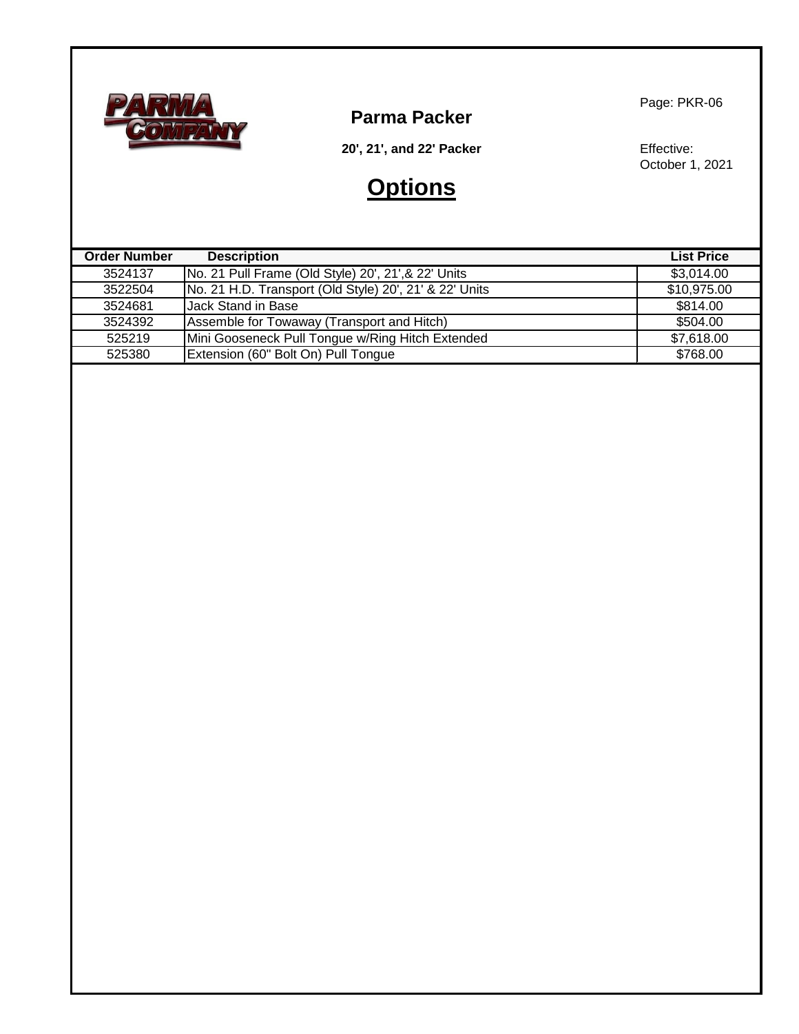

**Parma Packer**

Page: PKR-06

**20', 21', and 22' Packer**

# **Options**

Effective: October 1, 2021

| <b>Order Number</b> | <b>Description</b>                                     | <b>List Price</b> |
|---------------------|--------------------------------------------------------|-------------------|
| 3524137             | No. 21 Pull Frame (Old Style) 20', 21', & 22' Units    | \$3,014.00        |
| 3522504             | No. 21 H.D. Transport (Old Style) 20', 21' & 22' Units | \$10,975.00       |
| 3524681             | <b>Jack Stand in Base</b>                              | \$814.00          |
| 3524392             | Assemble for Towaway (Transport and Hitch)             | \$504.00          |
| 525219              | Mini Gooseneck Pull Tongue w/Ring Hitch Extended       | \$7,618.00        |
| 525380              | Extension (60" Bolt On) Pull Tongue                    | \$768.00          |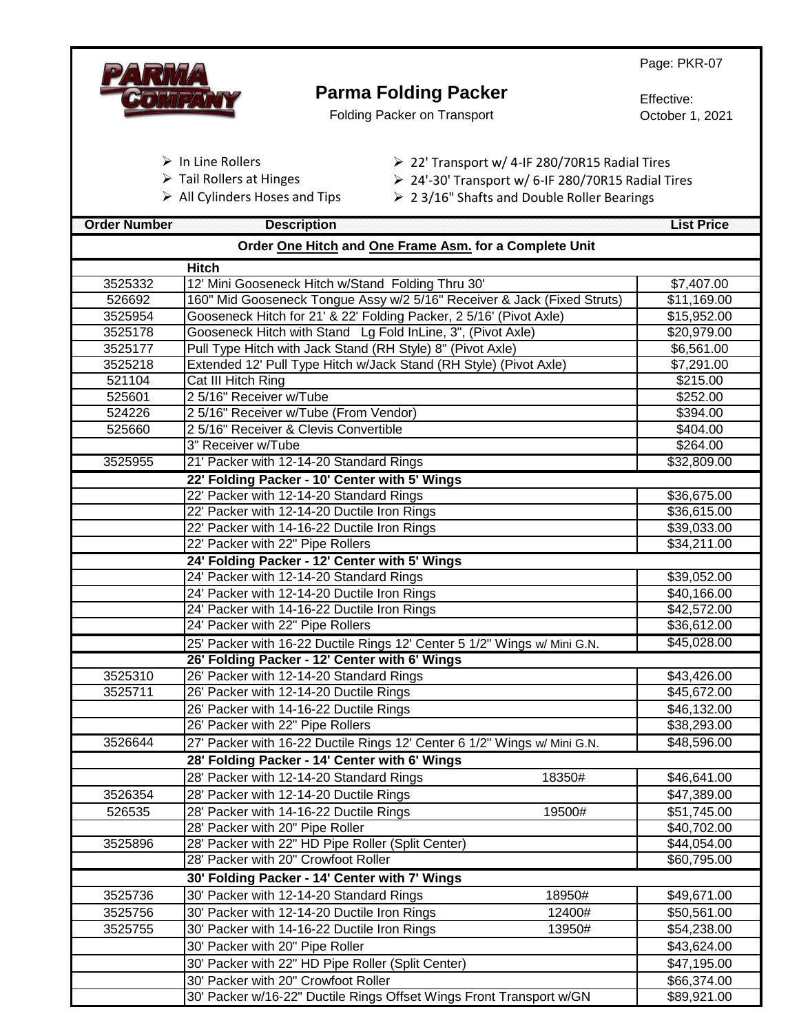|                     |                                                                                                  | Page: PKR-07                  |
|---------------------|--------------------------------------------------------------------------------------------------|-------------------------------|
|                     | <b>Parma Folding Packer</b>                                                                      |                               |
|                     | <b>Folding Packer on Transport</b>                                                               | Effective:<br>October 1, 2021 |
|                     |                                                                                                  |                               |
|                     |                                                                                                  |                               |
|                     | $\triangleright$ In Line Rollers<br>▶ 22' Transport w/ 4-IF 280/70R15 Radial Tires               |                               |
|                     | $\triangleright$ Tail Rollers at Hinges<br>> 24'-30' Transport w/ 6-IF 280/70R15 Radial Tires    |                               |
|                     | $\triangleright$ All Cylinders Hoses and Tips<br>$\geq$ 23/16" Shafts and Double Roller Bearings |                               |
| <b>Order Number</b> | <b>Description</b>                                                                               | <b>List Price</b>             |
|                     | Order One Hitch and One Frame Asm. for a Complete Unit                                           |                               |
|                     | <b>Hitch</b>                                                                                     |                               |
| 3525332             | 12' Mini Gooseneck Hitch w/Stand Folding Thru 30'                                                | \$7,407.00                    |
| 526692              | 160" Mid Gooseneck Tongue Assy w/2 5/16" Receiver & Jack (Fixed Struts)                          | \$11,169.00                   |
| 3525954             | Gooseneck Hitch for 21' & 22' Folding Packer, 2 5/16' (Pivot Axle)                               | \$15,952.00                   |
| 3525178             | Gooseneck Hitch with Stand Lg Fold InLine, 3", (Pivot Axle)                                      | $\overline{$20,979.00}$       |
| 3525177             | Pull Type Hitch with Jack Stand (RH Style) 8" (Pivot Axle)                                       | \$6,561.00                    |
| 3525218             | Extended 12' Pull Type Hitch w/Jack Stand (RH Style) (Pivot Axle)                                | \$7,291.00                    |
| 521104              | Cat III Hitch Ring                                                                               | \$215.00                      |
| 525601              | 2 5/16" Receiver w/Tube                                                                          | \$252.00                      |
| 524226              | 2 5/16" Receiver w/Tube (From Vendor)                                                            | \$394.00                      |
| 525660              | 2 5/16" Receiver & Clevis Convertible                                                            | \$404.00                      |
|                     | 3" Receiver w/Tube                                                                               | \$264.00                      |
| 3525955             | 21' Packer with 12-14-20 Standard Rings                                                          | \$32,809.00                   |
|                     | 22' Folding Packer - 10' Center with 5' Wings                                                    |                               |
|                     | 22' Packer with 12-14-20 Standard Rings                                                          | \$36,675.00                   |
|                     | 22' Packer with 12-14-20 Ductile Iron Rings                                                      | \$36,615.00                   |
|                     | 22' Packer with 14-16-22 Ductile Iron Rings                                                      | \$39,033.00                   |
|                     | 22' Packer with 22" Pipe Rollers                                                                 | \$34,211.00                   |
|                     | 24' Folding Packer - 12' Center with 5' Wings                                                    |                               |
|                     | 24' Packer with 12-14-20 Standard Rings                                                          | \$39,052.00                   |
|                     | 24' Packer with 12-14-20 Ductile Iron Rings                                                      | \$40,166.00                   |
|                     | 24' Packer with 14-16-22 Ductile Iron Rings                                                      | \$42,572.00                   |
|                     | 24' Packer with 22" Pipe Rollers                                                                 | \$36,612.00                   |
|                     | 25' Packer with 16-22 Ductile Rings 12' Center 5 1/2" Wings w/ Mini G.N.                         | \$45,028.00                   |
|                     | 26' Folding Packer - 12' Center with 6' Wings                                                    |                               |
| 3525310             | 26' Packer with 12-14-20 Standard Rings                                                          | \$43,426.00                   |
| 3525711             | 26' Packer with 12-14-20 Ductile Rings                                                           | \$45,672.00                   |
|                     | 26' Packer with 14-16-22 Ductile Rings                                                           | \$46,132.00                   |
|                     | 26' Packer with 22" Pipe Rollers                                                                 | \$38,293.00                   |
| 3526644             | 27' Packer with 16-22 Ductile Rings 12' Center 6 1/2" Wings w/ Mini G.N.                         | \$48,596.00                   |
|                     | 28' Folding Packer - 14' Center with 6' Wings                                                    |                               |
|                     | 28' Packer with 12-14-20 Standard Rings<br>18350#                                                | \$46,641.00                   |
| 3526354             | 28' Packer with 12-14-20 Ductile Rings                                                           | \$47,389.00                   |
| 526535              | 28' Packer with 14-16-22 Ductile Rings<br>19500#                                                 | \$51,745.00                   |
|                     | 28' Packer with 20" Pipe Roller                                                                  | \$40,702.00                   |
| 3525896             | 28' Packer with 22" HD Pipe Roller (Split Center)                                                | \$44,054.00                   |
|                     | 28' Packer with 20" Crowfoot Roller                                                              | \$60,795.00                   |
|                     | 30' Folding Packer - 14' Center with 7' Wings                                                    |                               |
| 3525736             | 30' Packer with 12-14-20 Standard Rings<br>18950#                                                | \$49,671.00                   |
| 3525756             | 30' Packer with 12-14-20 Ductile Iron Rings<br>12400#                                            | \$50,561.00                   |
| 3525755             | 30' Packer with 14-16-22 Ductile Iron Rings<br>13950#                                            | \$54,238.00                   |
|                     | 30' Packer with 20" Pipe Roller                                                                  | \$43,624.00                   |
|                     | 30' Packer with 22" HD Pipe Roller (Split Center)                                                | \$47,195.00                   |
|                     | 30' Packer with 20" Crowfoot Roller                                                              | \$66,374.00                   |
|                     | 30' Packer w/16-22" Ductile Rings Offset Wings Front Transport w/GN                              | \$89,921.00                   |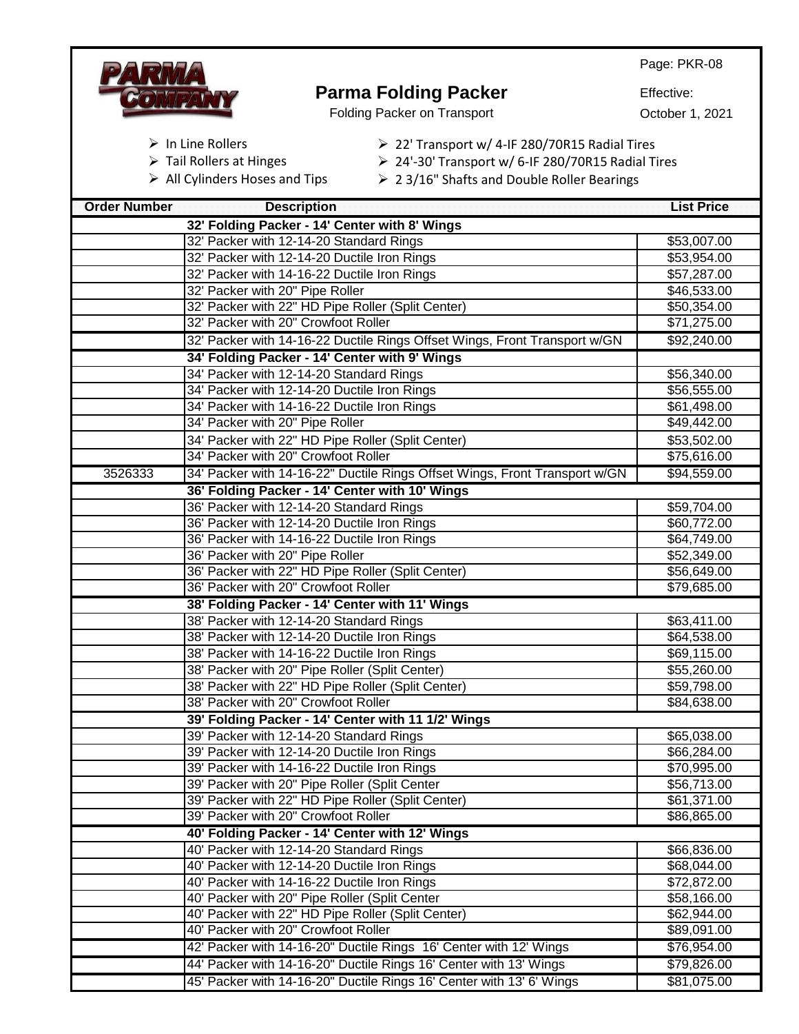

#### **Parma Folding Packer** Folding Packer on Transport

Effective:

October 1, 2021

- ➢ In Line Rollers
- ➢ Tail Rollers at Hinges
- ➢ All Cylinders Hoses and Tips
- ➢ 22' Transport w/ 4-IF 280/70R15 Radial Tires
- ➢ 24'-30' Transport w/ 6-IF 280/70R15 Radial Tires
- ➢ 2 3/16" Shafts and Double Roller Bearings

| <b>Order Number</b> | <b>Description</b>                                                         | <b>List Price</b>       |
|---------------------|----------------------------------------------------------------------------|-------------------------|
|                     | 32' Folding Packer - 14' Center with 8' Wings                              |                         |
|                     | 32' Packer with 12-14-20 Standard Rings                                    | \$53,007.00             |
|                     | 32' Packer with 12-14-20 Ductile Iron Rings                                | \$53,954.00             |
|                     | 32' Packer with 14-16-22 Ductile Iron Rings                                | \$57,287.00             |
|                     | 32' Packer with 20" Pipe Roller                                            | \$46,533.00             |
|                     | 32' Packer with 22" HD Pipe Roller (Split Center)                          | \$50,354.00             |
|                     | 32' Packer with 20" Crowfoot Roller                                        | \$71,275.00             |
|                     | 32' Packer with 14-16-22 Ductile Rings Offset Wings, Front Transport w/GN  | \$92,240.00             |
|                     | 34' Folding Packer - 14' Center with 9' Wings                              |                         |
|                     | 34' Packer with 12-14-20 Standard Rings                                    | \$56,340.00             |
|                     | 34' Packer with 12-14-20 Ductile Iron Rings                                | \$56,555.00             |
|                     | 34' Packer with 14-16-22 Ductile Iron Rings                                | \$61,498.00             |
|                     | 34' Packer with 20" Pipe Roller                                            | \$49,442.00             |
|                     | 34' Packer with 22" HD Pipe Roller (Split Center)                          | \$53,502.00             |
|                     | 34' Packer with 20" Crowfoot Roller                                        | \$75,616.00             |
| 3526333             | 34' Packer with 14-16-22" Ductile Rings Offset Wings, Front Transport w/GN | \$94,559.00             |
|                     | 36' Folding Packer - 14' Center with 10' Wings                             |                         |
|                     | 36' Packer with 12-14-20 Standard Rings                                    | \$59,704.00             |
|                     | 36' Packer with 12-14-20 Ductile Iron Rings                                | \$60,772.00             |
|                     | 36' Packer with 14-16-22 Ductile Iron Rings                                | \$64,749.00             |
|                     | 36' Packer with 20" Pipe Roller                                            | \$52,349.00             |
|                     | 36' Packer with 22" HD Pipe Roller (Split Center)                          | \$56,649.00             |
|                     | 36' Packer with 20" Crowfoot Roller                                        | \$79,685.00             |
|                     | 38' Folding Packer - 14' Center with 11' Wings                             |                         |
|                     | 38' Packer with 12-14-20 Standard Rings                                    | \$63,411.00             |
|                     | 38' Packer with 12-14-20 Ductile Iron Rings                                | \$64,538.00             |
|                     | 38' Packer with 14-16-22 Ductile Iron Rings                                | \$69,115.00             |
|                     | 38' Packer with 20" Pipe Roller (Split Center)                             | \$55,260.00             |
|                     | 38' Packer with 22" HD Pipe Roller (Split Center)                          | \$59,798.00             |
|                     | 38' Packer with 20" Crowfoot Roller                                        | \$84,638.00             |
|                     | 39' Folding Packer - 14' Center with 11 1/2' Wings                         |                         |
|                     | 39' Packer with 12-14-20 Standard Rings                                    | \$65,038.00             |
|                     | 39' Packer with 12-14-20 Ductile Iron Rings                                | \$66,284.00             |
|                     | 39' Packer with 14-16-22 Ductile Iron Rings                                | \$70,995.00             |
|                     | 39' Packer with 20" Pipe Roller (Split Center                              | \$56,713.00             |
|                     | 39' Packer with 22" HD Pipe Roller (Split Center)                          | \$61,371.00             |
|                     | 39' Packer with 20" Crowfoot Roller                                        | \$86,865.00             |
|                     | 40' Folding Packer - 14' Center with 12' Wings                             |                         |
|                     | 40' Packer with 12-14-20 Standard Rings                                    | \$66,836.00             |
|                     | 40' Packer with 12-14-20 Ductile Iron Rings                                | \$68,044.00             |
|                     | 40' Packer with 14-16-22 Ductile Iron Rings                                | \$72,872.00             |
|                     | 40' Packer with 20" Pipe Roller (Split Center                              | \$58,166.00             |
|                     | 40' Packer with 22" HD Pipe Roller (Split Center)                          | $\overline{$62,944.00}$ |
|                     | 40' Packer with 20" Crowfoot Roller                                        | \$89,091.00             |
|                     | 42' Packer with 14-16-20" Ductile Rings 16' Center with 12' Wings          | \$76,954.00             |
|                     | 44' Packer with 14-16-20" Ductile Rings 16' Center with 13' Wings          | \$79,826.00             |
|                     | 45' Packer with 14-16-20" Ductile Rings 16' Center with 13' 6' Wings       | \$81,075.00             |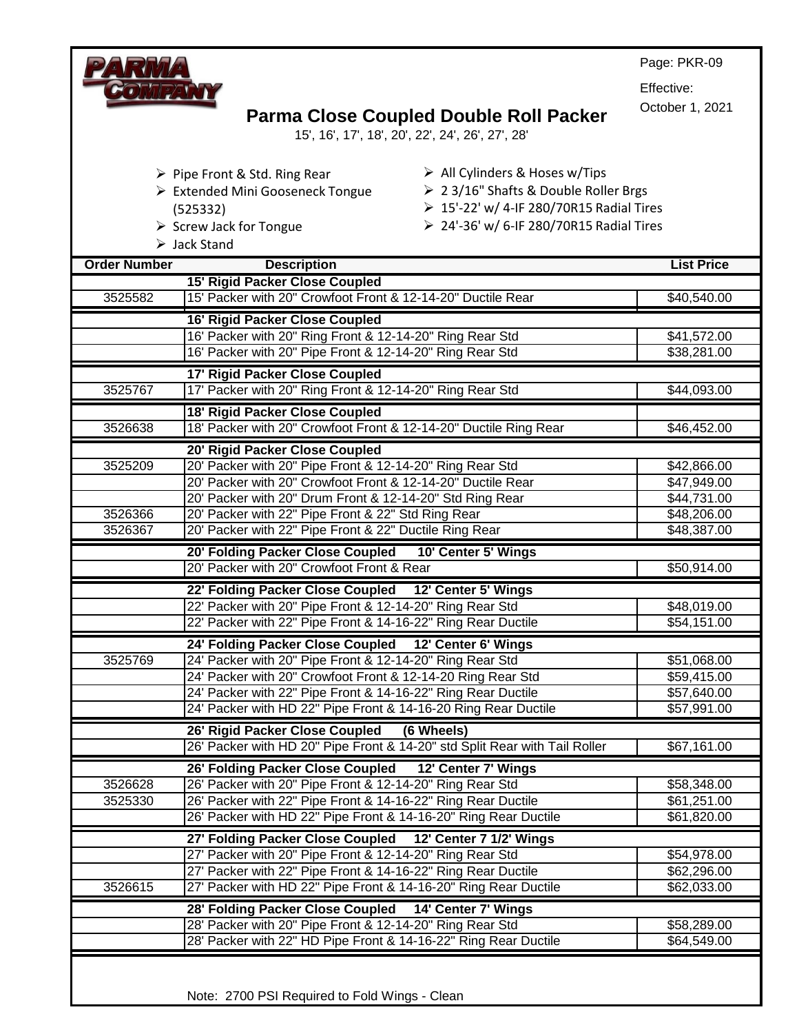|                     |                                                                                                                                 | Page: PKR-09               |
|---------------------|---------------------------------------------------------------------------------------------------------------------------------|----------------------------|
|                     |                                                                                                                                 | Effective:                 |
|                     |                                                                                                                                 | October 1, 2021            |
|                     | <b>Parma Close Coupled Double Roll Packer</b>                                                                                   |                            |
|                     | 15', 16', 17', 18', 20', 22', 24', 26', 27', 28'                                                                                |                            |
|                     | $\triangleright$ All Cylinders & Hoses w/Tips                                                                                   |                            |
|                     | $\triangleright$ Pipe Front & Std. Ring Rear<br>> 2 3/16" Shafts & Double Roller Brgs<br>> Extended Mini Gooseneck Tongue       |                            |
|                     | > 15'-22' w/ 4-IF 280/70R15 Radial Tires<br>(525332)                                                                            |                            |
|                     | ▶ 24'-36' w/ 6-IF 280/70R15 Radial Tires<br>$\triangleright$ Screw Jack for Tongue                                              |                            |
|                     | $\triangleright$ Jack Stand                                                                                                     |                            |
| <b>Order Number</b> | <b>Description</b>                                                                                                              | <b>List Price</b>          |
|                     | 15' Rigid Packer Close Coupled                                                                                                  |                            |
| 3525582             | 15' Packer with 20" Crowfoot Front & 12-14-20" Ductile Rear                                                                     | \$40,540.00                |
|                     | <b>16' Rigid Packer Close Coupled</b>                                                                                           |                            |
|                     | 16' Packer with 20" Ring Front & 12-14-20" Ring Rear Std                                                                        | \$41,572.00                |
|                     | 16' Packer with 20" Pipe Front & 12-14-20" Ring Rear Std                                                                        | \$38,281.00                |
|                     | 17' Rigid Packer Close Coupled                                                                                                  |                            |
| 3525767             | 17' Packer with 20" Ring Front & 12-14-20" Ring Rear Std                                                                        | \$44,093.00                |
|                     | 18' Rigid Packer Close Coupled                                                                                                  |                            |
| 3526638             | 18' Packer with 20" Crowfoot Front & 12-14-20" Ductile Ring Rear                                                                | \$46,452.00                |
|                     | 20' Rigid Packer Close Coupled                                                                                                  |                            |
| 3525209             | 20' Packer with 20" Pipe Front & 12-14-20" Ring Rear Std                                                                        | \$42,866.00                |
|                     | 20' Packer with 20" Crowfoot Front & 12-14-20" Ductile Rear                                                                     | \$47,949.00                |
|                     | 20' Packer with 20" Drum Front & 12-14-20" Std Ring Rear                                                                        | \$44,731.00                |
| 3526366<br>3526367  | 20' Packer with 22" Pipe Front & 22" Std Ring Rear<br>20' Packer with 22" Pipe Front & 22" Ductile Ring Rear                    | \$48,206.00<br>\$48,387.00 |
|                     |                                                                                                                                 |                            |
|                     | 20' Folding Packer Close Coupled 10' Center 5' Wings<br>20' Packer with 20" Crowfoot Front & Rear                               | \$50,914.00                |
|                     |                                                                                                                                 |                            |
|                     | 22' Folding Packer Close Coupled 12' Center 5' Wings<br>22' Packer with 20" Pipe Front & 12-14-20" Ring Rear Std                | \$48,019.00                |
|                     | 22' Packer with 22" Pipe Front & 14-16-22" Ring Rear Ductile                                                                    | \$54,151.00                |
|                     | 24' Folding Packer Close Coupled 12' Center 6' Wings                                                                            |                            |
| 3525769             | 24' Packer with 20" Pipe Front & 12-14-20" Ring Rear Std                                                                        | \$51,068.00                |
|                     | 24' Packer with 20" Crowfoot Front & 12-14-20 Ring Rear Std                                                                     | \$59,415.00                |
|                     | 24' Packer with 22" Pipe Front & 14-16-22" Ring Rear Ductile                                                                    | \$57,640.00                |
|                     | 24' Packer with HD 22" Pipe Front & 14-16-20 Ring Rear Ductile                                                                  | \$57,991.00                |
|                     | 26' Rigid Packer Close Coupled<br>(6 Wheels)                                                                                    |                            |
|                     | 26' Packer with HD 20" Pipe Front & 14-20" std Split Rear with Tail Roller                                                      | \$67,161.00                |
|                     | 26' Folding Packer Close Coupled 12' Center 7' Wings                                                                            |                            |
| 3526628             | 26' Packer with 20" Pipe Front & 12-14-20" Ring Rear Std                                                                        | \$58,348.00                |
| 3525330             | 26' Packer with 22" Pipe Front & 14-16-22" Ring Rear Ductile                                                                    | \$61,251.00                |
|                     | 26' Packer with HD 22" Pipe Front & 14-16-20" Ring Rear Ductile                                                                 | \$61,820.00                |
|                     | 27' Folding Packer Close Coupled 12' Center 7 1/2' Wings                                                                        |                            |
|                     | 27' Packer with 20" Pipe Front & 12-14-20" Ring Rear Std                                                                        | \$54,978.00                |
| 3526615             | 27' Packer with 22" Pipe Front & 14-16-22" Ring Rear Ductile<br>27' Packer with HD 22" Pipe Front & 14-16-20" Ring Rear Ductile | \$62,296.00<br>\$62,033.00 |
|                     |                                                                                                                                 |                            |
|                     | 28' Folding Packer Close Coupled 14' Center 7' Wings                                                                            |                            |
|                     | 28' Packer with 20" Pipe Front & 12-14-20" Ring Rear Std<br>28' Packer with 22" HD Pipe Front & 14-16-22" Ring Rear Ductile     | \$58,289.00<br>\$64,549.00 |
|                     |                                                                                                                                 |                            |
|                     |                                                                                                                                 |                            |

Note: 2700 PSI Required to Fold Wings - Clean